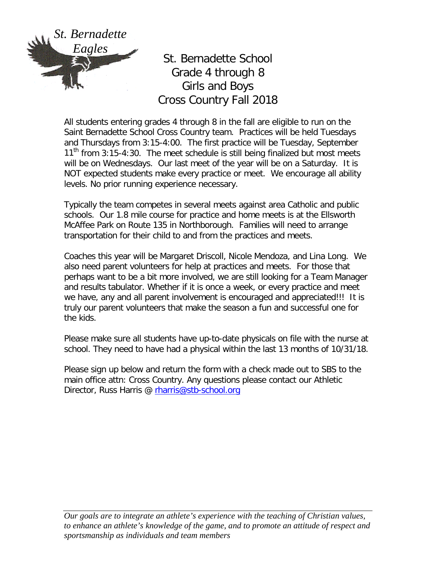

St. Bernadette School Grade 4 through 8 Girls and Boys Cross Country Fall 2018

All students entering grades 4 through 8 in the fall are eligible to run on the Saint Bernadette School Cross Country team. Practices will be held Tuesdays and Thursdays from 3:15-4:00. The first practice will be Tuesday, September  $11<sup>th</sup>$  from 3:15-4:30. The meet schedule is still being finalized but most meets will be on Wednesdays. Our last meet of the year will be on a Saturday. It is NOT expected students make every practice or meet. We encourage all ability levels. No prior running experience necessary.

Typically the team competes in several meets against area Catholic and public schools. Our 1.8 mile course for practice and home meets is at the Ellsworth McAffee Park on Route 135 in Northborough. Families will need to arrange transportation for their child to and from the practices and meets.

Coaches this year will be Margaret Driscoll, Nicole Mendoza, and Lina Long. We also need parent volunteers for help at practices and meets. For those that perhaps want to be a bit more involved, we are still looking for a Team Manager and results tabulator. Whether if it is once a week, or every practice and meet we have, any and all parent involvement is encouraged and appreciated!!! It is truly our parent volunteers that make the season a fun and successful one for the kids.

Please make sure all students have up-to-date physicals on file with the nurse at school. They need to have had a physical within the last 13 months of 10/31/18.

Please sign up below and return the form with a check made out to SBS to the main office attn: Cross Country. Any questions please contact our Athletic Director, Russ Harris @ [rharris@stb-school.org](mailto:rharris@stb-school.org)